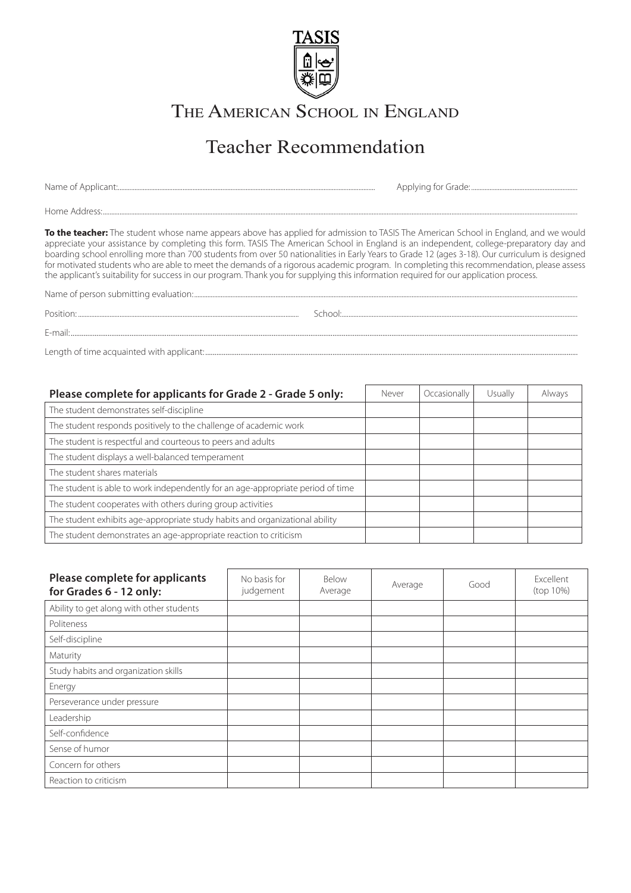

THE AMERICAN SCHOOL IN ENGLAND

## Teacher Recommendation

Name of Applicant:........................................................................................................................................................... Applying for Grade: ................................................................

Home Address:..............................................................................................................................................................................................................................................................................................

**To the teacher:** The student whose name appears above has applied for admission to TASIS The American School in England, and we would appreciate your assistance by completing this form. TASIS The American School in England is an independent, college-preparatory day and boarding school enrolling more than 700 students from over 50 nationalities in Early Years to Grade 12 (ages 3-18). Our curriculum is designed for motivated students who are able to meet the demands of a rigorous academic program. In completing this recommendation, please assess the applicant's suitability for success in our program. Thank you for supplying this information required for our application process.

Name of person submitting evaluation:.......................................................................................................................................................................................................................................

E-mail:...................................................................................................................................................................................................................................................................................

Position: School: School: School: School: School: School: School: School: School: School: School: School: School: School: School: School: School: School: School: School: School: School: School: School: School: School: Scho

Length of time acquainted with applicant: ..........................................................................................................................................................................................................

| Please complete for applicants for Grade 2 - Grade 5 only:                      | Never | Occasionally | Usually | Always |
|---------------------------------------------------------------------------------|-------|--------------|---------|--------|
| The student demonstrates self-discipline                                        |       |              |         |        |
| The student responds positively to the challenge of academic work               |       |              |         |        |
| The student is respectful and courteous to peers and adults                     |       |              |         |        |
| The student displays a well-balanced temperament                                |       |              |         |        |
| The student shares materials                                                    |       |              |         |        |
| The student is able to work independently for an age-appropriate period of time |       |              |         |        |
| The student cooperates with others during group activities                      |       |              |         |        |
| The student exhibits age-appropriate study habits and organizational ability    |       |              |         |        |
| The student demonstrates an age-appropriate reaction to criticism               |       |              |         |        |

| Please complete for applicants<br>for Grades 6 - 12 only: | No basis for<br>judgement | Below<br>Average | Average | Good | Excellent<br>(top 10%) |
|-----------------------------------------------------------|---------------------------|------------------|---------|------|------------------------|
| Ability to get along with other students                  |                           |                  |         |      |                        |
| Politeness                                                |                           |                  |         |      |                        |
| Self-discipline                                           |                           |                  |         |      |                        |
| Maturity                                                  |                           |                  |         |      |                        |
| Study habits and organization skills                      |                           |                  |         |      |                        |
| Energy                                                    |                           |                  |         |      |                        |
| Perseverance under pressure                               |                           |                  |         |      |                        |
| Leadership                                                |                           |                  |         |      |                        |
| Self-confidence                                           |                           |                  |         |      |                        |
| Sense of humor                                            |                           |                  |         |      |                        |
| Concern for others                                        |                           |                  |         |      |                        |
| Reaction to criticism                                     |                           |                  |         |      |                        |